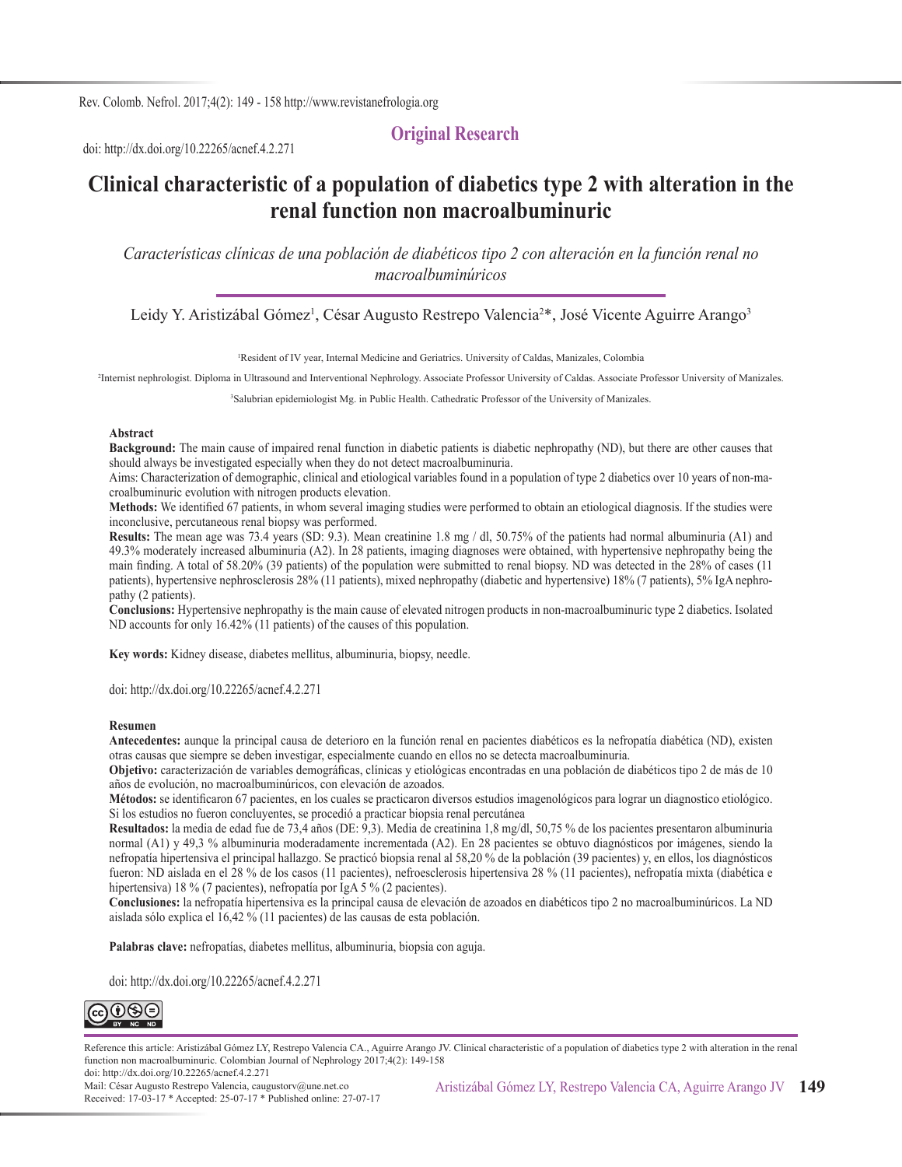Rev. Colomb. Nefrol. 2017;4(2): 149 - 158 http://www.revistanefrologia.org

doi: http://dx.doi.org/10.22265/acnef.4.2.271

# **Clinical characteristic of a population of diabetics type 2 with alteration in the renal function non macroalbuminuric**

**Original Research**

*Características clínicas de una población de diabéticos tipo 2 con alteración en la función renal no macroalbuminúricos*

Leidy Y. Aristizábal Gómez<sup>1</sup>, César Augusto Restrepo Valencia<sup>2\*</sup>, José Vicente Aguirre Arango<sup>3</sup>

1 Resident of IV year, Internal Medicine and Geriatrics. University of Caldas, Manizales, Colombia

2 Internist nephrologist. Diploma in Ultrasound and Interventional Nephrology. Associate Professor University of Caldas. Associate Professor University of Manizales.

3 Salubrian epidemiologist Mg. in Public Health. Cathedratic Professor of the University of Manizales.

#### **Abstract**

**Background:** The main cause of impaired renal function in diabetic patients is diabetic nephropathy (ND), but there are other causes that should always be investigated especially when they do not detect macroalbuminuria.

Aims: Characterization of demographic, clinical and etiological variables found in a population of type 2 diabetics over 10 years of non-macroalbuminuric evolution with nitrogen products elevation.

**Methods:** We identified 67 patients, in whom several imaging studies were performed to obtain an etiological diagnosis. If the studies were inconclusive, percutaneous renal biopsy was performed.

**Results:** The mean age was 73.4 years (SD: 9.3). Mean creatinine 1.8 mg / dl, 50.75% of the patients had normal albuminuria (A1) and 49.3% moderately increased albuminuria (A2). In 28 patients, imaging diagnoses were obtained, with hypertensive nephropathy being the main finding. A total of 58.20% (39 patients) of the population were submitted to renal biopsy. ND was detected in the 28% of cases (11 patients), hypertensive nephrosclerosis 28% (11 patients), mixed nephropathy (diabetic and hypertensive) 18% (7 patients), 5% IgA nephropathy (2 patients).

**Conclusions:** Hypertensive nephropathy is the main cause of elevated nitrogen products in non-macroalbuminuric type 2 diabetics. Isolated ND accounts for only 16.42% (11 patients) of the causes of this population.

**Key words:** Kidney disease, diabetes mellitus, albuminuria, biopsy, needle.

doi: http://dx.doi.org/10.22265/acnef.4.2.271

#### **Resumen**

**Antecedentes:** aunque la principal causa de deterioro en la función renal en pacientes diabéticos es la nefropatía diabética (ND), existen otras causas que siempre se deben investigar, especialmente cuando en ellos no se detecta macroalbuminuria.

**Objetivo:** caracterización de variables demográficas, clínicas y etiológicas encontradas en una población de diabéticos tipo 2 de más de 10 años de evolución, no macroalbuminúricos, con elevación de azoados.

**Métodos:** se identificaron 67 pacientes, en los cuales se practicaron diversos estudios imagenológicos para lograr un diagnostico etiológico. Si los estudios no fueron concluyentes, se procedió a practicar biopsia renal percutánea

**Resultados:** la media de edad fue de 73,4 años (DE: 9,3). Media de creatinina 1,8 mg/dl, 50,75 % de los pacientes presentaron albuminuria normal (A1) y 49,3 % albuminuria moderadamente incrementada (A2). En 28 pacientes se obtuvo diagnósticos por imágenes, siendo la nefropatía hipertensiva el principal hallazgo. Se practicó biopsia renal al 58,20 % de la población (39 pacientes) y, en ellos, los diagnósticos fueron: ND aislada en el 28 % de los casos (11 pacientes), nefroesclerosis hipertensiva 28 % (11 pacientes), nefropatía mixta (diabética e hipertensiva) 18 % (7 pacientes), nefropatía por IgA 5 % (2 pacientes).

**Conclusiones:** la nefropatía hipertensiva es la principal causa de elevación de azoados en diabéticos tipo 2 no macroalbuminúricos. La ND aislada sólo explica el 16,42 % (11 pacientes) de las causas de esta población.

**Palabras clave:** nefropatías, diabetes mellitus, albuminuria, biopsia con aguja.

doi: http://dx.doi.org/10.22265/acnef.4.2.271



Reference this article: Aristizábal Gómez LY, Restrepo Valencia CA., Aguirre Arango JV. Clinical characteristic of a population of diabetics type 2 with alteration in the renal function non macroalbuminuric. Colombian Journal of Nephrology 2017;4(2): 149-158 doi: http://dx.doi.org/10.22265/acnef.4.2.271

Mail: César Augusto Restrepo Valencia, caugustorv@une.net.co Received: 17-03-17 \* Accepted: 25-07-17 \* Published online: 27-07-17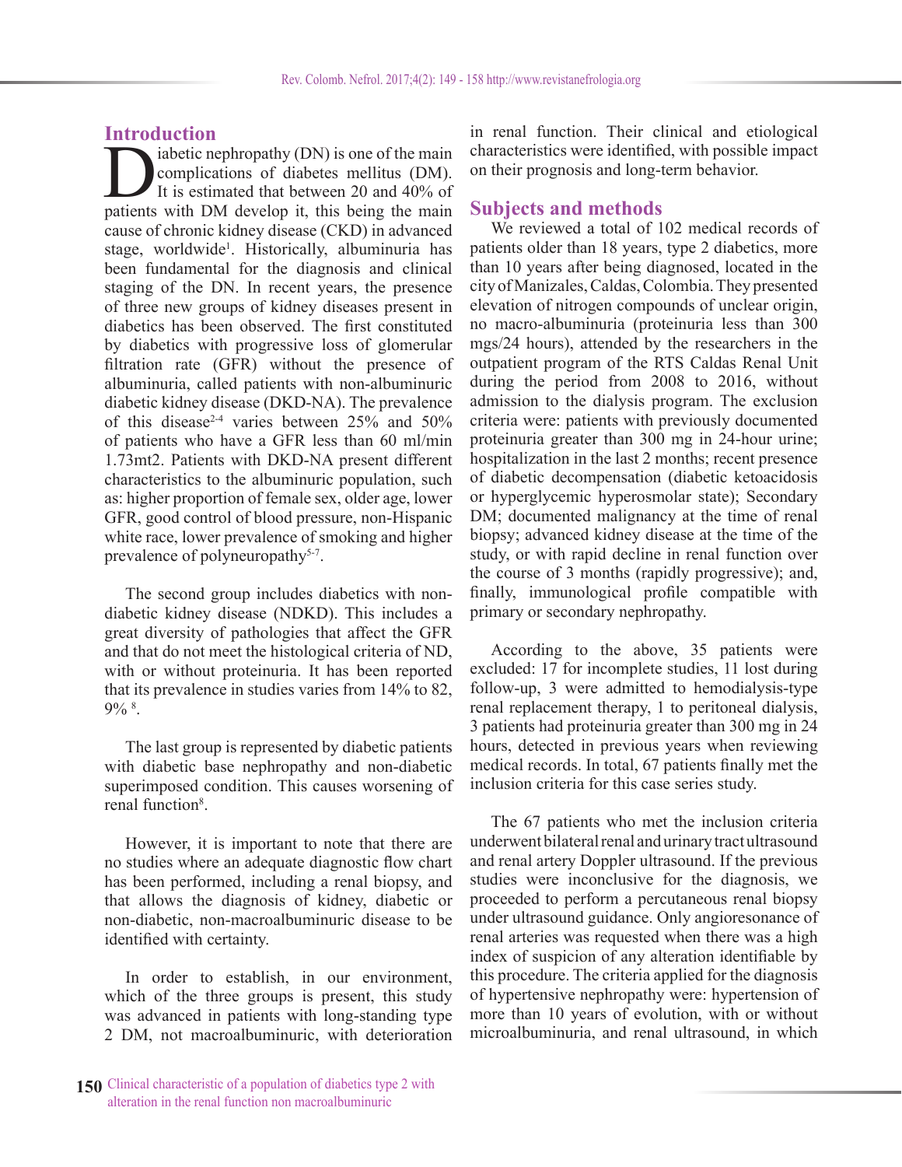# **Introduction**

iabetic nephropathy (DN) is one of the main complications of diabetes mellitus (DM). It is estimated that between 20 and 40% of patients with DM develop it, this being the main cause of chronic kidney disease (CKD) in advanced stage, worldwide<sup>1</sup>. Historically, albuminuria has been fundamental for the diagnosis and clinical staging of the DN. In recent years, the presence of three new groups of kidney diseases present in diabetics has been observed. The first constituted by diabetics with progressive loss of glomerular filtration rate (GFR) without the presence of albuminuria, called patients with non-albuminuric diabetic kidney disease (DKD-NA). The prevalence of this disease<sup>2-4</sup> varies between 25% and 50% of patients who have a GFR less than 60 ml/min 1.73mt2. Patients with DKD-NA present different characteristics to the albuminuric population, such as: higher proportion of female sex, older age, lower GFR, good control of blood pressure, non-Hispanic white race, lower prevalence of smoking and higher prevalence of polyneuropathy<sup>5-7</sup>.

The second group includes diabetics with nondiabetic kidney disease (NDKD). This includes a great diversity of pathologies that affect the GFR and that do not meet the histological criteria of ND, with or without proteinuria. It has been reported that its prevalence in studies varies from 14% to 82, 9% 8 .

The last group is represented by diabetic patients with diabetic base nephropathy and non-diabetic superimposed condition. This causes worsening of renal function<sup>8</sup>.

However, it is important to note that there are no studies where an adequate diagnostic flow chart has been performed, including a renal biopsy, and that allows the diagnosis of kidney, diabetic or non-diabetic, non-macroalbuminuric disease to be identified with certainty.

In order to establish, in our environment, which of the three groups is present, this study was advanced in patients with long-standing type 2 DM, not macroalbuminuric, with deterioration

**150** Clinical characteristic of a population of diabetics type 2 with alteration in the renal function non macroalbuminuric

in renal function. Their clinical and etiological characteristics were identified, with possible impact on their prognosis and long-term behavior.

## **Subjects and methods**

We reviewed a total of 102 medical records of patients older than 18 years, type 2 diabetics, more than 10 years after being diagnosed, located in the city of Manizales, Caldas, Colombia. They presented elevation of nitrogen compounds of unclear origin, no macro-albuminuria (proteinuria less than 300 mgs/24 hours), attended by the researchers in the outpatient program of the RTS Caldas Renal Unit during the period from 2008 to 2016, without admission to the dialysis program. The exclusion criteria were: patients with previously documented proteinuria greater than 300 mg in 24-hour urine; hospitalization in the last 2 months; recent presence of diabetic decompensation (diabetic ketoacidosis or hyperglycemic hyperosmolar state); Secondary DM; documented malignancy at the time of renal biopsy; advanced kidney disease at the time of the study, or with rapid decline in renal function over the course of 3 months (rapidly progressive); and, finally, immunological profile compatible with primary or secondary nephropathy.

According to the above, 35 patients were excluded: 17 for incomplete studies, 11 lost during follow-up, 3 were admitted to hemodialysis-type renal replacement therapy, 1 to peritoneal dialysis, 3 patients had proteinuria greater than 300 mg in 24 hours, detected in previous years when reviewing medical records. In total, 67 patients finally met the inclusion criteria for this case series study.

The 67 patients who met the inclusion criteria underwent bilateral renal and urinary tract ultrasound and renal artery Doppler ultrasound. If the previous studies were inconclusive for the diagnosis, we proceeded to perform a percutaneous renal biopsy under ultrasound guidance. Only angioresonance of renal arteries was requested when there was a high index of suspicion of any alteration identifiable by this procedure. The criteria applied for the diagnosis of hypertensive nephropathy were: hypertension of more than 10 years of evolution, with or without microalbuminuria, and renal ultrasound, in which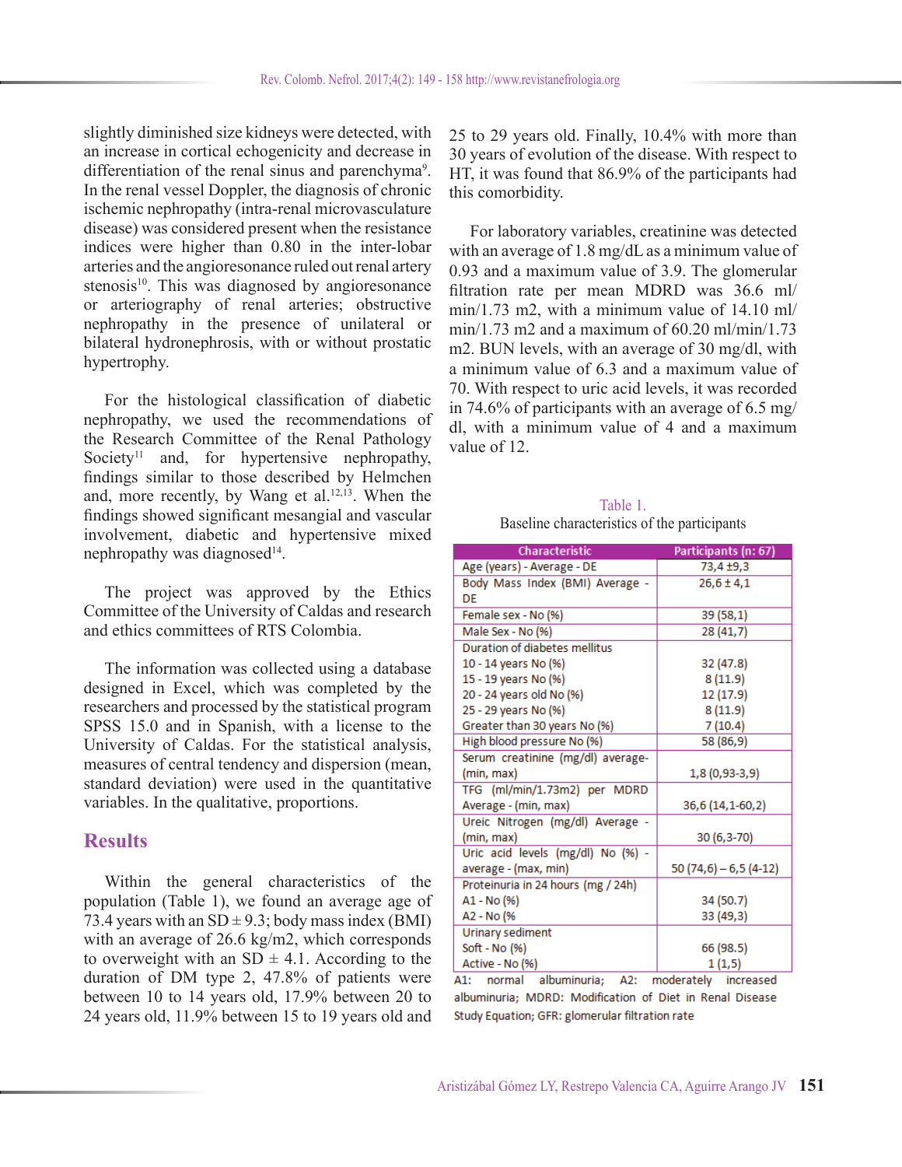slightly diminished size kidneys were detected, with an increase in cortical echogenicity and decrease in differentiation of the renal sinus and parenchyma<sup>9</sup>. In the renal vessel Doppler, the diagnosis of chronic ischemic nephropathy (intra-renal microvasculature disease) was considered present when the resistance indices were higher than 0.80 in the inter-lobar arteries and the angioresonance ruled out renal artery stenosis<sup>10</sup>. This was diagnosed by angioresonance or arteriography of renal arteries; obstructive nephropathy in the presence of unilateral or bilateral hydronephrosis, with or without prostatic hypertrophy.

For the histological classification of diabetic nephropathy, we used the recommendations of the Research Committee of the Renal Pathology Society<sup>11</sup> and, for hypertensive nephropathy, findings similar to those described by Helmchen and, more recently, by Wang et al. $12,13$ . When the findings showed significant mesangial and vascular involvement, diabetic and hypertensive mixed nephropathy was diagnosed<sup>14</sup>.

The project was approved by the Ethics Committee of the University of Caldas and research and ethics committees of RTS Colombia.

The information was collected using a database designed in Excel, which was completed by the researchers and processed by the statistical program SPSS 15.0 and in Spanish, with a license to the University of Caldas. For the statistical analysis, measures of central tendency and dispersion (mean, standard deviation) were used in the quantitative variables. In the qualitative, proportions.

### **Results**

Within the general characteristics of the population (Table 1), we found an average age of 73.4 years with an  $SD \pm 9.3$ ; body mass index (BMI) with an average of 26.6 kg/m2, which corresponds to overweight with an  $SD \pm 4.1$ . According to the duration of DM type 2, 47.8% of patients were between 10 to 14 years old, 17.9% between 20 to 24 years old, 11.9% between 15 to 19 years old and

25 to 29 years old. Finally, 10.4% with more than 30 years of evolution of the disease. With respect to HT, it was found that 86.9% of the participants had this comorbidity.

For laboratory variables, creatinine was detected with an average of 1.8 mg/dL as a minimum value of 0.93 and a maximum value of 3.9. The glomerular filtration rate per mean MDRD was 36.6 ml/ min/1.73 m2, with a minimum value of 14.10 ml/ min/1.73 m2 and a maximum of  $60.20$  ml/min/1.73 m2. BUN levels, with an average of 30 mg/dl, with a minimum value of 6.3 and a maximum value of 70. With respect to uric acid levels, it was recorded in 74.6% of participants with an average of 6.5 mg/ dl, with a minimum value of 4 and a maximum value of 12.

| Table 1.                                     |
|----------------------------------------------|
| Baseline characteristics of the participants |

| Characteristic                     | Participants (n: 67)   |  |  |  |  |
|------------------------------------|------------------------|--|--|--|--|
| Age (years) - Average - DE         | 73,4 ±9,3              |  |  |  |  |
| Body Mass Index (BMI) Average -    | $26,6 \pm 4,1$         |  |  |  |  |
| DF                                 |                        |  |  |  |  |
| Female sex - No (%)                | 39 (58,1)              |  |  |  |  |
| Male Sex - No (%)                  | 28(41,7)               |  |  |  |  |
| Duration of diabetes mellitus      |                        |  |  |  |  |
| 10 - 14 years No (%)               | 32 (47.8)              |  |  |  |  |
| 15 - 19 years No (%)               | 8(11.9)                |  |  |  |  |
| 20 - 24 years old No (%)           | 12 (17.9)              |  |  |  |  |
| 25 - 29 years No (%)               | 8(11.9)                |  |  |  |  |
| Greater than 30 years No (%)       | 7(10.4)                |  |  |  |  |
| High blood pressure No (%)         | 58 (86,9)              |  |  |  |  |
| Serum creatinine (mg/dl) average-  |                        |  |  |  |  |
| (min, max)                         | $1,8(0,93-3,9)$        |  |  |  |  |
| TFG (ml/min/1.73m2) per MDRD       |                        |  |  |  |  |
| Average - (min, max)               | 36,6 (14,1-60,2)       |  |  |  |  |
| Ureic Nitrogen (mg/dl) Average -   |                        |  |  |  |  |
| (min, max)                         | 30 (6,3-70)            |  |  |  |  |
| Uric acid levels (mg/dl) No (%) -  |                        |  |  |  |  |
| average - (max, min)               | 50 (74,6) - 6,5 (4-12) |  |  |  |  |
| Proteinuria in 24 hours (mg / 24h) |                        |  |  |  |  |
| A1 - No (%)                        | 34 (50.7)              |  |  |  |  |
| A2 - No (%                         | 33 (49,3)              |  |  |  |  |
| Urinary sediment                   |                        |  |  |  |  |
| Soft - No (%)                      | 66 (98.5)              |  |  |  |  |
| Active - No (%)                    | 1(1,5)                 |  |  |  |  |

A1: normal albuminuria; A2: moderately increased albuminuria; MDRD: Modification of Diet in Renal Disease Study Equation; GFR: glomerular filtration rate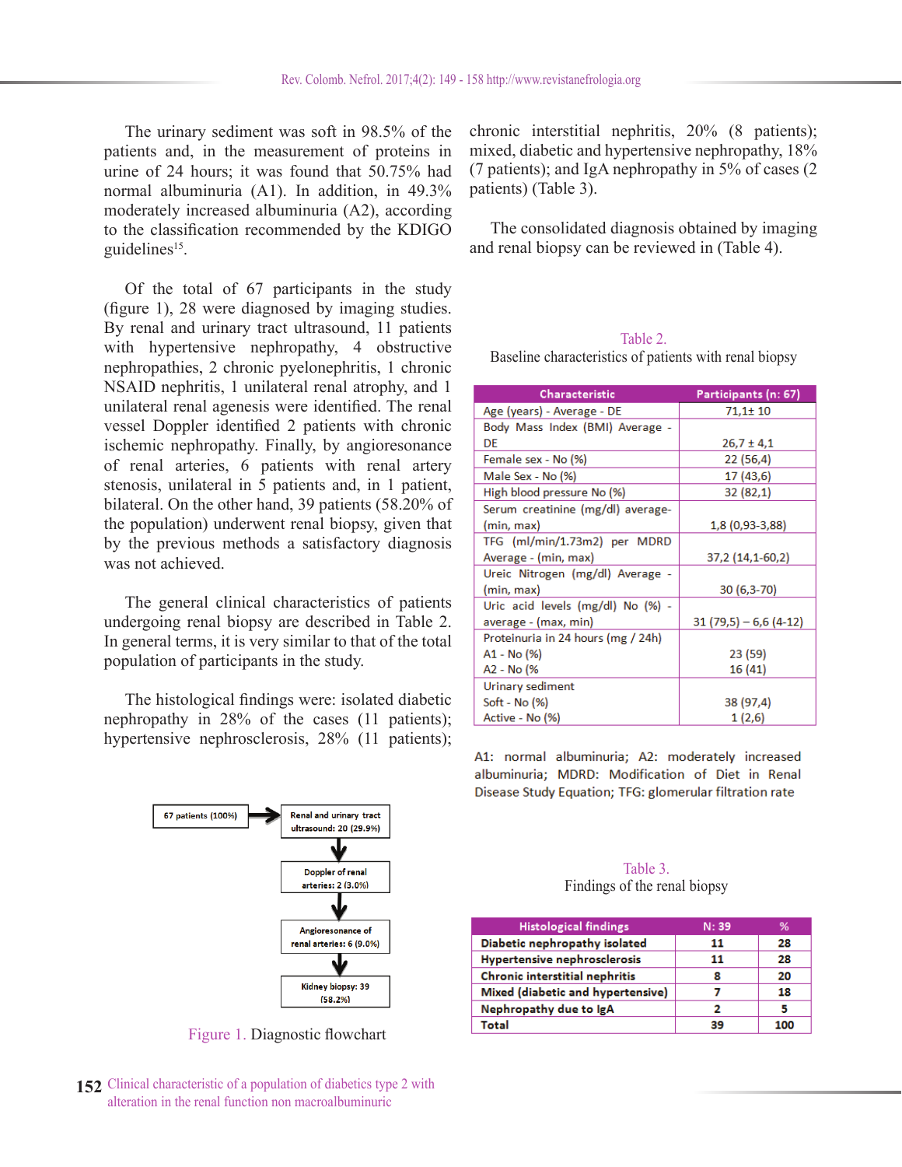The urinary sediment was soft in 98.5% of the patients and, in the measurement of proteins in urine of 24 hours; it was found that 50.75% had normal albuminuria (A1). In addition, in 49.3% moderately increased albuminuria (A2), according to the classification recommended by the KDIGO guidelines<sup>15</sup>.

Of the total of 67 participants in the study (figure 1), 28 were diagnosed by imaging studies. By renal and urinary tract ultrasound, 11 patients with hypertensive nephropathy, 4 obstructive nephropathies, 2 chronic pyelonephritis, 1 chronic NSAID nephritis, 1 unilateral renal atrophy, and 1 unilateral renal agenesis were identified. The renal vessel Doppler identified 2 patients with chronic ischemic nephropathy. Finally, by angioresonance of renal arteries, 6 patients with renal artery stenosis, unilateral in 5 patients and, in 1 patient, bilateral. On the other hand, 39 patients (58.20% of the population) underwent renal biopsy, given that by the previous methods a satisfactory diagnosis was not achieved.

The general clinical characteristics of patients undergoing renal biopsy are described in Table 2. In general terms, it is very similar to that of the total population of participants in the study.

The histological findings were: isolated diabetic nephropathy in 28% of the cases (11 patients); hypertensive nephrosclerosis, 28% (11 patients);



Figure 1. Diagnostic flowchart

**152** Clinical characteristic of a population of diabetics type 2 with alteration in the renal function non macroalbuminuric

chronic interstitial nephritis, 20% (8 patients); mixed, diabetic and hypertensive nephropathy, 18% (7 patients); and IgA nephropathy in 5% of cases (2 patients) (Table 3).

The consolidated diagnosis obtained by imaging and renal biopsy can be reviewed in (Table 4).

#### Table 2.

Baseline characteristics of patients with renal biopsy

| Characteristic                     | Participants (n: 67)   |  |  |  |  |
|------------------------------------|------------------------|--|--|--|--|
| Age (years) - Average - DE         | 71,1±10                |  |  |  |  |
| Body Mass Index (BMI) Average -    |                        |  |  |  |  |
| DE                                 | $26,7 \pm 4,1$         |  |  |  |  |
| Female sex - No (%)                | 22 (56,4)              |  |  |  |  |
| Male Sex - No (%)                  | 17 (43,6)              |  |  |  |  |
| High blood pressure No (%)         | 32 (82,1)              |  |  |  |  |
| Serum creatinine (mg/dl) average-  |                        |  |  |  |  |
| (min, max)                         | 1,8 (0,93-3,88)        |  |  |  |  |
| TFG (ml/min/1.73m2) per MDRD       |                        |  |  |  |  |
| Average - (min, max)               | 37,2 (14,1-60,2)       |  |  |  |  |
| Ureic Nitrogen (mg/dl) Average -   |                        |  |  |  |  |
| (min, max)                         | $30(6,3-70)$           |  |  |  |  |
| Uric acid levels (mg/dl) No (%) -  |                        |  |  |  |  |
| average - (max, min)               | $31(79,5) - 6,6(4-12)$ |  |  |  |  |
| Proteinuria in 24 hours (mg / 24h) |                        |  |  |  |  |
| A1 - No (%)                        | 23 (59)                |  |  |  |  |
| A2 - No (%                         | 16 (41)                |  |  |  |  |
| Urinary sediment                   |                        |  |  |  |  |
| Soft - No (%)                      | 38 (97,4)              |  |  |  |  |
| Active - No (%)                    | 1(2,6)                 |  |  |  |  |

A1: normal albuminuria; A2: moderately increased albuminuria; MDRD: Modification of Diet in Renal Disease Study Equation; TFG: glomerular filtration rate

#### Table 3. Findings of the renal biopsy

| <b>Histological findings</b>      | N: 39 | ℅   |
|-----------------------------------|-------|-----|
| Diabetic nephropathy isolated     | 11    | 28  |
| Hypertensive nephrosclerosis      | 11    | 28  |
| Chronic interstitial nephritis    | 8     | 20  |
| Mixed (diabetic and hypertensive) |       | 18  |
| Nephropathy due to IgA            | 2     | 5   |
| Total                             | 39    | 100 |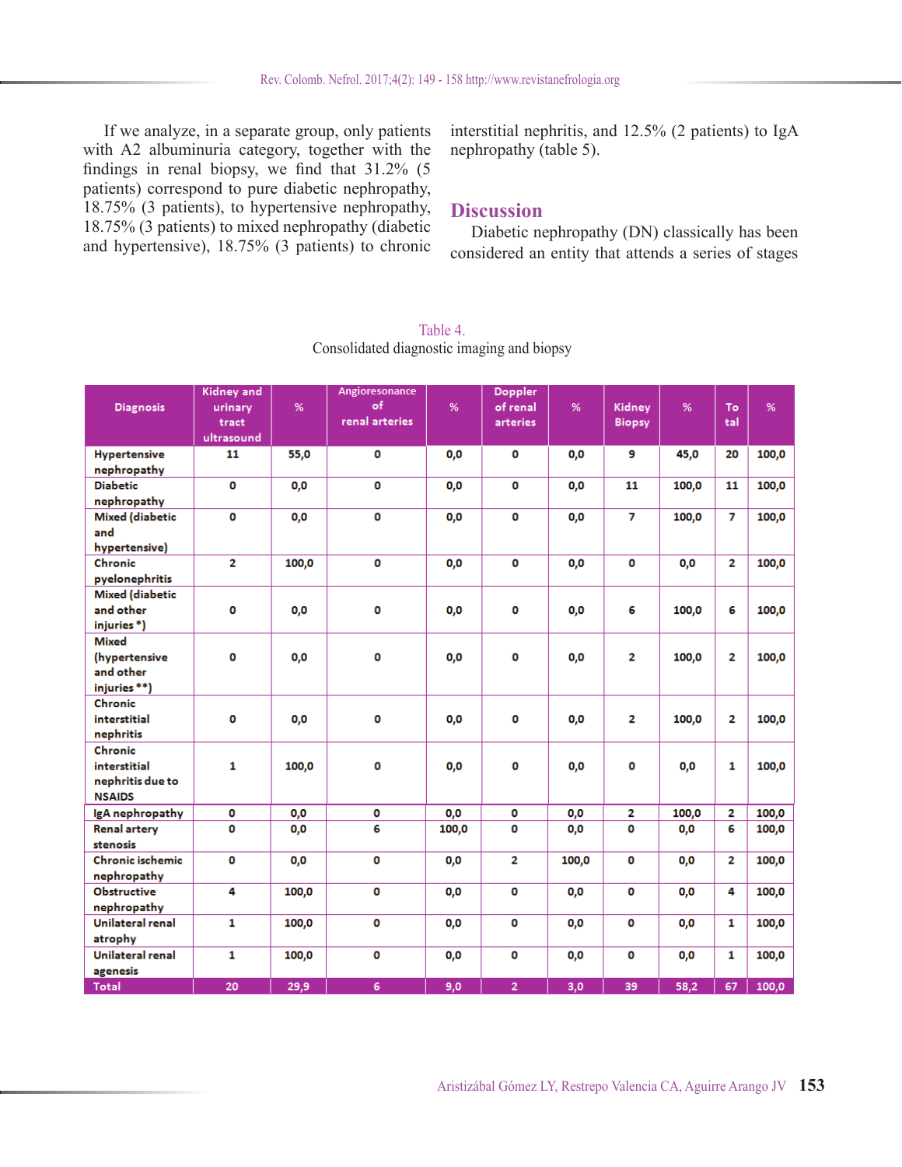If we analyze, in a separate group, only patients with A2 albuminuria category, together with the findings in renal biopsy, we find that 31.2% (5 patients) correspond to pure diabetic nephropathy, 18.75% (3 patients), to hypertensive nephropathy, 18.75% (3 patients) to mixed nephropathy (diabetic and hypertensive), 18.75% (3 patients) to chronic

interstitial nephritis, and 12.5% (2 patients) to IgA nephropathy (table 5).

# **Discussion**

Diabetic nephropathy (DN) classically has been considered an entity that attends a series of stages

| <b>Diagnosis</b>                                             | Kidney and<br>urinary<br>tract<br>ultrasound | %     | Angioresonance<br>of<br>renal arteries | %     | <b>Doppler</b><br>of renal<br>arteries | %     | Kidney<br><b>Biopsy</b> | %     | To<br>tal      | %     |
|--------------------------------------------------------------|----------------------------------------------|-------|----------------------------------------|-------|----------------------------------------|-------|-------------------------|-------|----------------|-------|
| <b>Hypertensive</b><br>nephropathy                           | 11                                           | 55,0  | O                                      | 0,0   | o                                      | 0,0   | 9                       | 45,0  | 20             | 100,0 |
| <b>Diabetic</b><br>nephropathy                               | $\mathbf 0$                                  | 0,0   | $\mathbf 0$                            | 0,0   | o                                      | 0,0   | 11                      | 100,0 | 11             | 100,0 |
| <b>Mixed (diabetic</b><br>and<br>hypertensive)               | $\bullet$                                    | 0,0   | $\mathbf 0$                            | 0,0   | 0                                      | 0,0   | $\overline{7}$          | 100,0 | 7              | 100,0 |
| Chronic<br>pyelonephritis                                    | $\overline{2}$                               | 100,0 | O                                      | 0,0   | o                                      | 0,0   | O                       | 0,0   | 2              | 100,0 |
| <b>Mixed (diabetic</b><br>and other<br>injuries*)            | O                                            | 0,0   | O                                      | 0,0   | o                                      | 0,0   | 6                       | 100,0 | 6              | 100,0 |
| <b>Mixed</b><br>(hypertensive<br>and other<br>injuries **)   | $\mathbf o$                                  | 0,0   | o                                      | 0,0   | 0                                      | 0,0   | 2                       | 100,0 | $\overline{2}$ | 100,0 |
| Chronic<br>interstitial<br>nephritis                         | $\mathbf{0}$                                 | 0,0   | $\bullet$                              | 0,0   | o                                      | 0,0   | 2                       | 100,0 | 2              | 100,0 |
| Chronic<br>interstitial<br>nephritis due to<br><b>NSAIDS</b> | $\mathbf{1}$                                 | 100,0 | o                                      | 0,0   | 0                                      | 0,0   | o                       | 0,0   | 1              | 100,0 |
| IgA nephropathy                                              | o                                            | 0,0   | 0                                      | 0,0   | o                                      | 0,0   | $\mathbf{2}$            | 100,0 | 2              | 100,0 |
| <b>Renal artery</b><br>stenosis                              | O                                            | 0,0   | 6                                      | 100,0 | O                                      | 0,0   | $\mathbf{0}$            | 0,0   | 6              | 100,0 |
| <b>Chronic ischemic</b><br>nephropathy                       | o                                            | 0,0   | O                                      | 0,0   | 2                                      | 100,0 | 0                       | 0,0   | 2              | 100,0 |
| <b>Obstructive</b><br>nephropathy                            | 4                                            | 100,0 | o                                      | 0,0   | O                                      | 0,0   | 0                       | 0,0   | 4              | 100,0 |
| Unilateral renal<br>atrophy                                  | $\mathbf{1}$                                 | 100,0 | $\mathbf 0$                            | 0,0   | $\mathbf 0$                            | 0,0   | $\mathbf 0$             | 0,0   | 1              | 100,0 |
| Unilateral renal<br>agenesis                                 | $\mathbf{1}$                                 | 100,0 | $\mathbf 0$                            | 0,0   | 0                                      | 0,0   | 0                       | 0,0   | 1              | 100,0 |
| <b>Total</b>                                                 | 20                                           | 29,9  | 6                                      | 9,0   | $\overline{2}$                         | 3,0   | 39                      | 58,2  | 67             | 100,0 |

#### Table 4. Consolidated diagnostic imaging and biopsy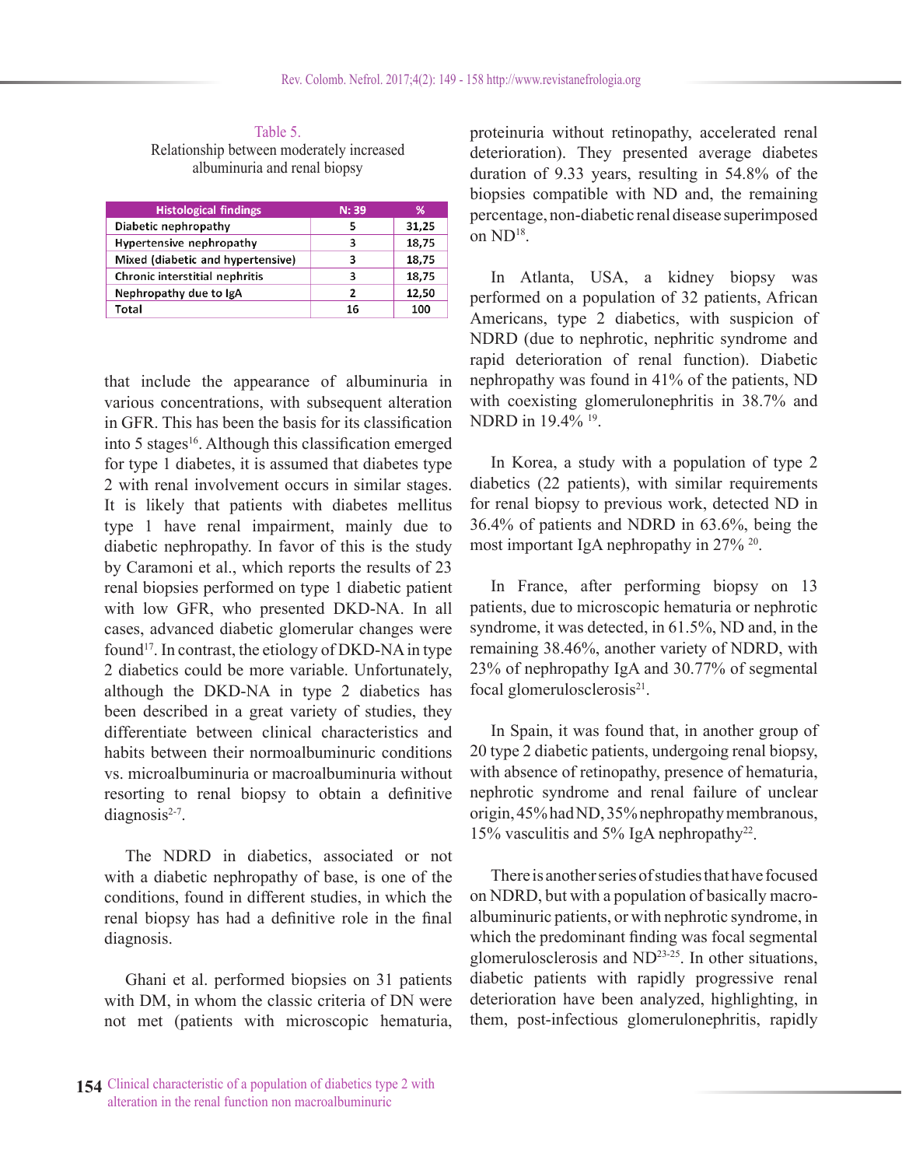Table 5. Relationship between moderately increased albuminuria and renal biopsy

| <b>Histological findings</b>      | N: 39 | %     |
|-----------------------------------|-------|-------|
| Diabetic nephropathy              | 5     | 31,25 |
| Hypertensive nephropathy          | 3     | 18,75 |
| Mixed (diabetic and hypertensive) | 3     | 18,75 |
| Chronic interstitial nephritis    | 3     | 18,75 |
| Nephropathy due to IgA            | 2     | 12,50 |
| Total                             | 16    | 100   |

that include the appearance of albuminuria in various concentrations, with subsequent alteration in GFR. This has been the basis for its classification into 5 stages<sup>16</sup>. Although this classification emerged for type 1 diabetes, it is assumed that diabetes type 2 with renal involvement occurs in similar stages. It is likely that patients with diabetes mellitus type 1 have renal impairment, mainly due to diabetic nephropathy. In favor of this is the study by Caramoni et al., which reports the results of 23 renal biopsies performed on type 1 diabetic patient with low GFR, who presented DKD-NA. In all cases, advanced diabetic glomerular changes were found<sup>17</sup>. In contrast, the etiology of DKD-NA in type 2 diabetics could be more variable. Unfortunately, although the DKD-NA in type 2 diabetics has been described in a great variety of studies, they differentiate between clinical characteristics and habits between their normoalbuminuric conditions vs. microalbuminuria or macroalbuminuria without resorting to renal biopsy to obtain a definitive diagnosis $2-7$ .

The NDRD in diabetics, associated or not with a diabetic nephropathy of base, is one of the conditions, found in different studies, in which the renal biopsy has had a definitive role in the final diagnosis.

Ghani et al. performed biopsies on 31 patients with DM, in whom the classic criteria of DN were not met (patients with microscopic hematuria,

proteinuria without retinopathy, accelerated renal deterioration). They presented average diabetes duration of 9.33 years, resulting in 54.8% of the biopsies compatible with ND and, the remaining percentage, non-diabetic renal disease superimposed on ND<sup>18</sup>.

In Atlanta, USA, a kidney biopsy was performed on a population of 32 patients, African Americans, type 2 diabetics, with suspicion of NDRD (due to nephrotic, nephritic syndrome and rapid deterioration of renal function). Diabetic nephropathy was found in 41% of the patients, ND with coexisting glomerulonephritis in 38.7% and NDRD in 19.4% 19.

In Korea, a study with a population of type 2 diabetics (22 patients), with similar requirements for renal biopsy to previous work, detected ND in 36.4% of patients and NDRD in 63.6%, being the most important IgA nephropathy in 27% 20.

In France, after performing biopsy on 13 patients, due to microscopic hematuria or nephrotic syndrome, it was detected, in 61.5%, ND and, in the remaining 38.46%, another variety of NDRD, with 23% of nephropathy IgA and 30.77% of segmental focal glomerulosclerosis<sup>21</sup>.

In Spain, it was found that, in another group of 20 type 2 diabetic patients, undergoing renal biopsy, with absence of retinopathy, presence of hematuria, nephrotic syndrome and renal failure of unclear origin, 45% had ND, 35% nephropathy membranous, 15% vasculitis and 5% IgA nephropathy22.

There is another series of studies that have focused on NDRD, but with a population of basically macroalbuminuric patients, or with nephrotic syndrome, in which the predominant finding was focal segmental glomerulosclerosis and ND23-25. In other situations, diabetic patients with rapidly progressive renal deterioration have been analyzed, highlighting, in them, post-infectious glomerulonephritis, rapidly

**154** Clinical characteristic of a population of diabetics type 2 with alteration in the renal function non macroalbuminuric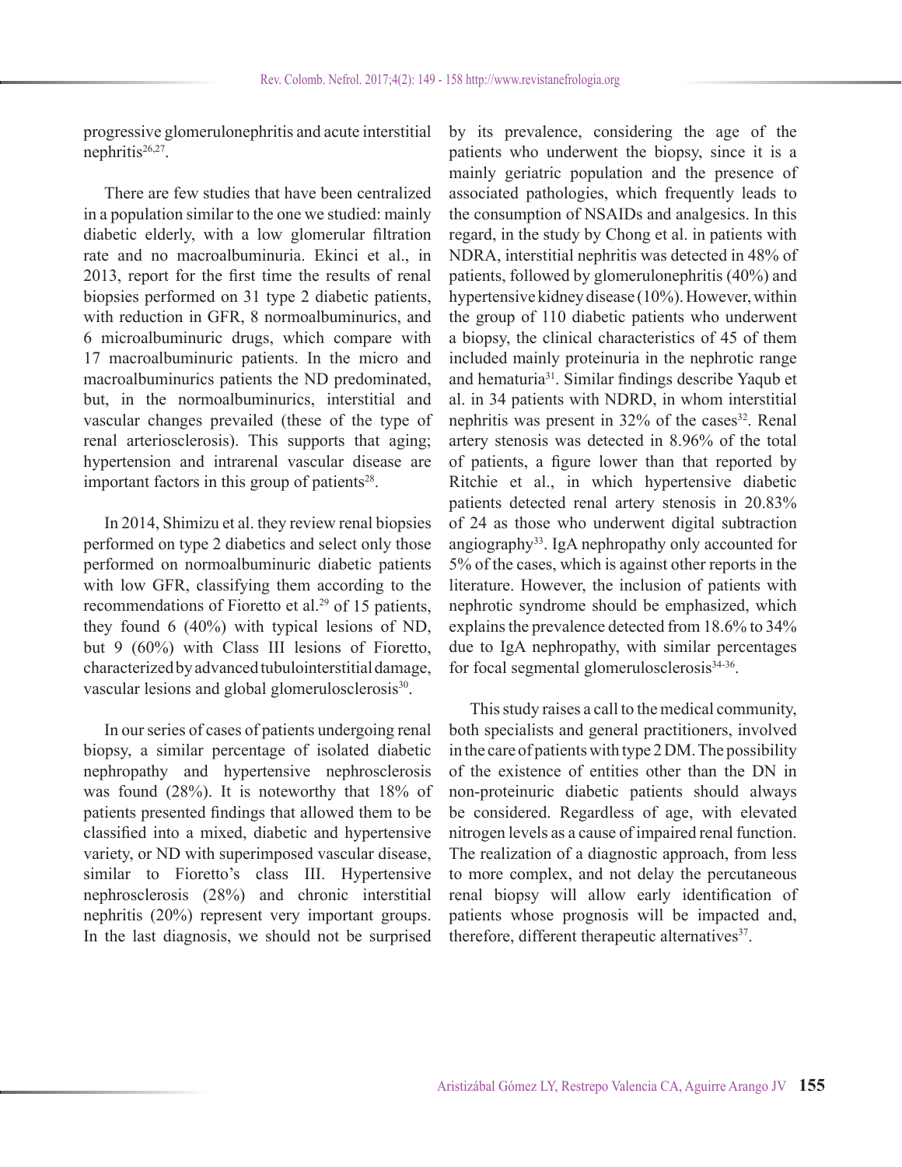progressive glomerulonephritis and acute interstitial nephritis<sup>26,27</sup>.

There are few studies that have been centralized in a population similar to the one we studied: mainly diabetic elderly, with a low glomerular filtration rate and no macroalbuminuria. Ekinci et al., in 2013, report for the first time the results of renal biopsies performed on 31 type 2 diabetic patients, with reduction in GFR, 8 normoalbuminurics, and 6 microalbuminuric drugs, which compare with 17 macroalbuminuric patients. In the micro and macroalbuminurics patients the ND predominated, but, in the normoalbuminurics, interstitial and vascular changes prevailed (these of the type of renal arteriosclerosis). This supports that aging; hypertension and intrarenal vascular disease are important factors in this group of patients $28$ .

In 2014, Shimizu et al. they review renal biopsies performed on type 2 diabetics and select only those performed on normoalbuminuric diabetic patients with low GFR, classifying them according to the recommendations of Fioretto et al.<sup>29</sup> of 15 patients, they found 6 (40%) with typical lesions of ND, but 9 (60%) with Class III lesions of Fioretto, characterized by advanced tubulointerstitial damage, vascular lesions and global glomerulosclerosis<sup>30</sup>.

In our series of cases of patients undergoing renal biopsy, a similar percentage of isolated diabetic nephropathy and hypertensive nephrosclerosis was found (28%). It is noteworthy that 18% of patients presented findings that allowed them to be classified into a mixed, diabetic and hypertensive variety, or ND with superimposed vascular disease, similar to Fioretto's class III. Hypertensive nephrosclerosis (28%) and chronic interstitial nephritis (20%) represent very important groups. In the last diagnosis, we should not be surprised

by its prevalence, considering the age of the patients who underwent the biopsy, since it is a mainly geriatric population and the presence of associated pathologies, which frequently leads to the consumption of NSAIDs and analgesics. In this regard, in the study by Chong et al. in patients with NDRA, interstitial nephritis was detected in 48% of patients, followed by glomerulonephritis (40%) and hypertensive kidney disease (10%). However, within the group of 110 diabetic patients who underwent a biopsy, the clinical characteristics of 45 of them included mainly proteinuria in the nephrotic range and hematuria31. Similar findings describe Yaqub et al. in 34 patients with NDRD, in whom interstitial nephritis was present in  $32\%$  of the cases<sup>32</sup>. Renal artery stenosis was detected in 8.96% of the total of patients, a figure lower than that reported by Ritchie et al., in which hypertensive diabetic patients detected renal artery stenosis in 20.83% of 24 as those who underwent digital subtraction angiography<sup>33</sup>. IgA nephropathy only accounted for 5% of the cases, which is against other reports in the literature. However, the inclusion of patients with nephrotic syndrome should be emphasized, which explains the prevalence detected from 18.6% to 34% due to IgA nephropathy, with similar percentages for focal segmental glomerulosclerosis $34-36$ .

This study raises a call to the medical community, both specialists and general practitioners, involved in the care of patients with type 2 DM. The possibility of the existence of entities other than the DN in non-proteinuric diabetic patients should always be considered. Regardless of age, with elevated nitrogen levels as a cause of impaired renal function. The realization of a diagnostic approach, from less to more complex, and not delay the percutaneous renal biopsy will allow early identification of patients whose prognosis will be impacted and, therefore, different therapeutic alternatives<sup>37</sup>.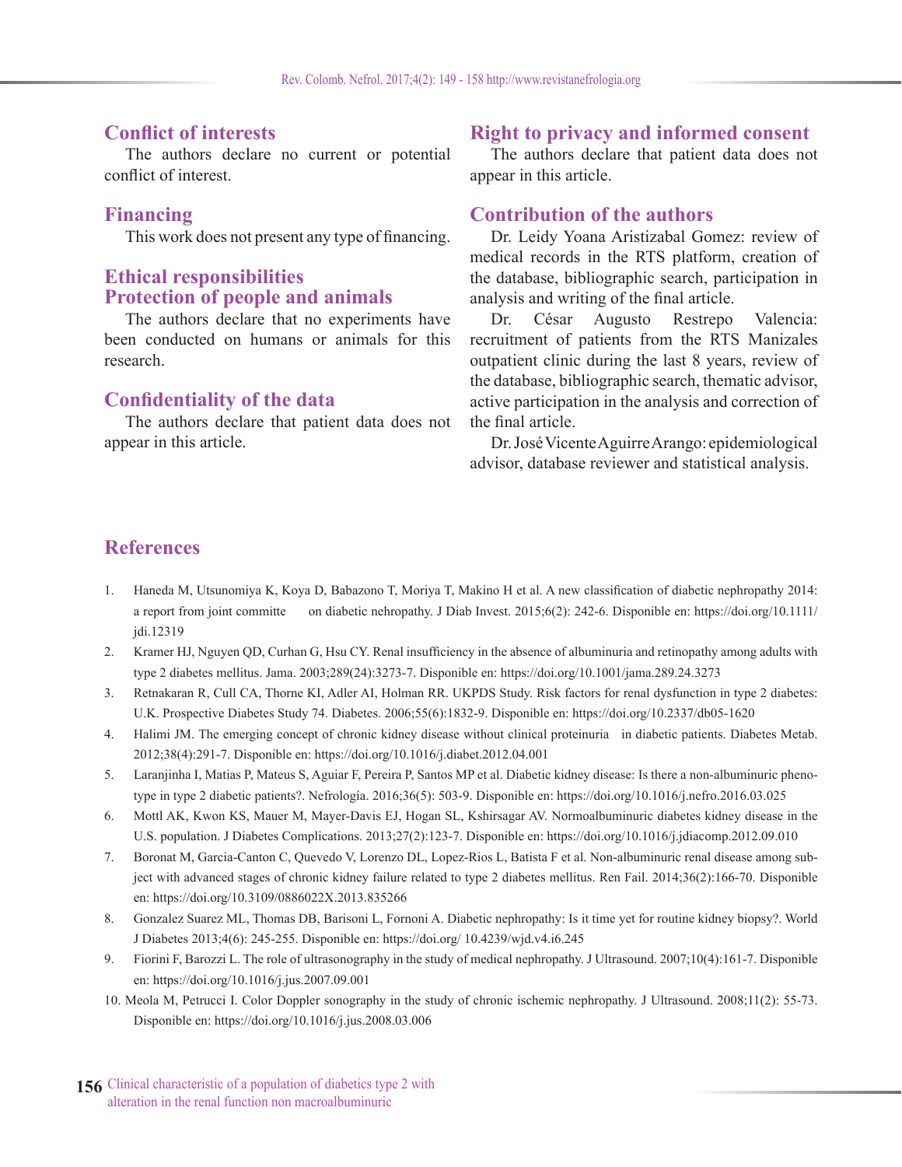# **Conflict of interests**

The authors declare no current or potential conflict of interest.

# **Financing**

This work does not present any type of financing.

# **Ethical responsibilities Protection of people and animals**

The authors declare that no experiments have been conducted on humans or animals for this research.

# **Confidentiality of the data**

The authors declare that patient data does not appear in this article.

# **Right to privacy and informed consent**

The authors declare that patient data does not appear in this article.

## **Contribution of the authors**

Dr. Leidy Yoana Aristizabal Gomez: review of medical records in the RTS platform, creation of the database, bibliographic search, participation in analysis and writing of the final article.

Dr. César Augusto Restrepo Valencia: recruitment of patients from the RTS Manizales outpatient clinic during the last 8 years, review of the database, bibliographic search, thematic advisor, active participation in the analysis and correction of the final article.

Dr. José Vicente Aguirre Arango: epidemiological advisor, database reviewer and statistical analysis.

# **References**

- 1. Haneda M, Utsunomiya K, Koya D, Babazono T, Moriya T, Makino H et al. A new classification of diabetic nephropathy 2014: a report from joint committe on diabetic nehropathy. J Diab Invest. 2015;6(2): 242-6. Disponible en: https://doi.org/10.1111/ jdi.12319
- 2. Kramer HJ, Nguyen QD, Curhan G, Hsu CY. Renal insufficiency in the absence of albuminuria and retinopathy among adults with type 2 diabetes mellitus. Jama. 2003;289(24):3273-7. Disponible en: https://doi.org/10.1001/jama.289.24.3273
- 3. Retnakaran R, Cull CA, Thorne KI, Adler AI, Holman RR. UKPDS Study. Risk factors for renal dysfunction in type 2 diabetes: U.K. Prospective Diabetes Study 74. Diabetes. 2006;55(6):1832-9. Disponible en: https://doi.org/10.2337/db05-1620
- 4. Halimi JM. The emerging concept of chronic kidney disease without clinical proteinuria in diabetic patients. Diabetes Metab. 2012;38(4):291-7. Disponible en: https://doi.org/10.1016/j.diabet.2012.04.001
- 5. Laranjinha I, Matias P, Mateus S, Aguiar F, Pereira P, Santos MP et al. Diabetic kidney disease: Is there a non-albuminuric phenotype in type 2 diabetic patients?. Nefrología. 2016;36(5): 503-9. Disponible en: https://doi.org/10.1016/j.nefro.2016.03.025
- 6. Mottl AK, Kwon KS, Mauer M, Mayer-Davis EJ, Hogan SL, Kshirsagar AV. Normoalbuminuric diabetes kidney disease in the U.S. population. J Diabetes Complications. 2013;27(2):123-7. Disponible en: https://doi.org/10.1016/j.jdiacomp.2012.09.010
- 7. Boronat M, Garcia-Canton C, Quevedo V, Lorenzo DL, Lopez-Rios L, Batista F et al. Non-albuminuric renal disease among subject with advanced stages of chronic kidney failure related to type 2 diabetes mellitus. Ren Fail. 2014;36(2):166-70. Disponible en: https://doi.org/10.3109/0886022X.2013.835266
- 8. Gonzalez Suarez ML, Thomas DB, Barisoni L, Fornoni A. Diabetic nephropathy: Is it time yet for routine kidney biopsy?. World J Diabetes 2013;4(6): 245-255. Disponible en: https://doi.org/ 10.4239/wjd.v4.i6.245
- 9. Fiorini F, Barozzi L. The role of ultrasonography in the study of medical nephropathy. J Ultrasound. 2007;10(4):161-7. Disponible en: https://doi.org/10.1016/j.jus.2007.09.001
- 10. Meola M, Petrucci I. Color Doppler sonography in the study of chronic ischemic nephropathy. J Ultrasound. 2008;11(2): 55-73. Disponible en: https://doi.org/10.1016/j.jus.2008.03.006
- **156** Clinical characteristic of a population of diabetics type 2 with alteration in the renal function non macroalbuminuric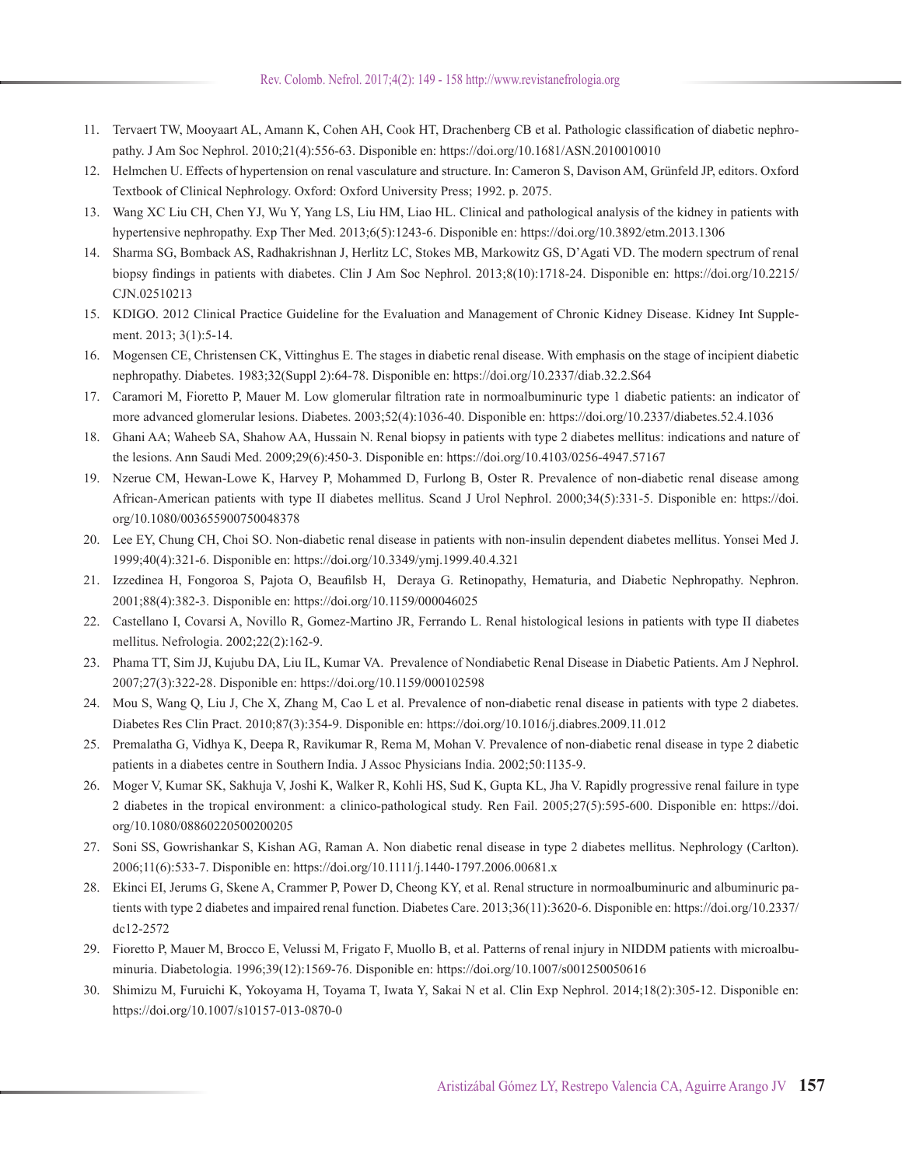- 11. Tervaert TW, Mooyaart AL, Amann K, Cohen AH, Cook HT, Drachenberg CB et al. Pathologic classification of diabetic nephropathy. J Am Soc Nephrol. 2010;21(4):556-63. Disponible en: https://doi.org/10.1681/ASN.2010010010
- 12. Helmchen U. Effects of hypertension on renal vasculature and structure. In: Cameron S, Davison AM, Grünfeld JP, editors. Oxford Textbook of Clinical Nephrology. Oxford: Oxford University Press; 1992. p. 2075.
- 13. Wang XC Liu CH, Chen YJ, Wu Y, Yang LS, Liu HM, Liao HL. Clinical and pathological analysis of the kidney in patients with hypertensive nephropathy. Exp Ther Med. 2013;6(5):1243-6. Disponible en: https://doi.org/10.3892/etm.2013.1306
- 14. Sharma SG, Bomback AS, Radhakrishnan J, Herlitz LC, Stokes MB, Markowitz GS, D'Agati VD. The modern spectrum of renal biopsy findings in patients with diabetes. Clin J Am Soc Nephrol. 2013;8(10):1718-24. Disponible en: https://doi.org/10.2215/ CJN.02510213
- 15. KDIGO. 2012 Clinical Practice Guideline for the Evaluation and Management of Chronic Kidney Disease. Kidney Int Supplement. 2013; 3(1):5-14.
- 16. Mogensen CE, Christensen CK, Vittinghus E. The stages in diabetic renal disease. With emphasis on the stage of incipient diabetic nephropathy. Diabetes. 1983;32(Suppl 2):64-78. Disponible en: https://doi.org/10.2337/diab.32.2.S64
- 17. Caramori M, Fioretto P, Mauer M. Low glomerular filtration rate in normoalbuminuric type 1 diabetic patients: an indicator of more advanced glomerular lesions. Diabetes. 2003;52(4):1036-40. Disponible en: https://doi.org/10.2337/diabetes.52.4.1036
- 18. Ghani AA; Waheeb SA, Shahow AA, Hussain N. Renal biopsy in patients with type 2 diabetes mellitus: indications and nature of the lesions. Ann Saudi Med. 2009;29(6):450-3. Disponible en: https://doi.org/10.4103/0256-4947.57167
- 19. Nzerue CM, Hewan-Lowe K, Harvey P, Mohammed D, Furlong B, Oster R. Prevalence of non-diabetic renal disease among African-American patients with type II diabetes mellitus. Scand J Urol Nephrol. 2000;34(5):331-5. Disponible en: https://doi. org/10.1080/003655900750048378
- 20. Lee EY, Chung CH, Choi SO. Non-diabetic renal disease in patients with non-insulin dependent diabetes mellitus. Yonsei Med J. 1999;40(4):321-6. Disponible en: https://doi.org/10.3349/ymj.1999.40.4.321
- 21. Izzedinea H, Fongoroa S, Pajota O, Beaufilsb H, Deraya G. Retinopathy, Hematuria, and Diabetic Nephropathy. Nephron. 2001;88(4):382-3. Disponible en: https://doi.org/10.1159/000046025
- 22. Castellano I, Covarsi A, Novillo R, Gomez-Martino JR, Ferrando L. Renal histological lesions in patients with type II diabetes mellitus. Nefrologia. 2002;22(2):162-9.
- 23. Phama TT, Sim JJ, Kujubu DA, Liu IL, Kumar VA. Prevalence of Nondiabetic Renal Disease in Diabetic Patients. Am J Nephrol. 2007;27(3):322-28. Disponible en: https://doi.org/10.1159/000102598
- 24. Mou S, Wang Q, Liu J, Che X, Zhang M, Cao L et al. Prevalence of non-diabetic renal disease in patients with type 2 diabetes. Diabetes Res Clin Pract. 2010;87(3):354-9. Disponible en: https://doi.org/10.1016/j.diabres.2009.11.012
- 25. Premalatha G, Vidhya K, Deepa R, Ravikumar R, Rema M, Mohan V. Prevalence of non-diabetic renal disease in type 2 diabetic patients in a diabetes centre in Southern India. J Assoc Physicians India. 2002;50:1135-9.
- 26. Moger V, Kumar SK, Sakhuja V, Joshi K, Walker R, Kohli HS, Sud K, Gupta KL, Jha V. Rapidly progressive renal failure in type 2 diabetes in the tropical environment: a clinico-pathological study. Ren Fail. 2005;27(5):595-600. Disponible en: https://doi. org/10.1080/08860220500200205
- 27. Soni SS, Gowrishankar S, Kishan AG, Raman A. Non diabetic renal disease in type 2 diabetes mellitus. Nephrology (Carlton). 2006;11(6):533-7. Disponible en: https://doi.org/10.1111/j.1440-1797.2006.00681.x
- 28. Ekinci EI, Jerums G, Skene A, Crammer P, Power D, Cheong KY, et al. Renal structure in normoalbuminuric and albuminuric patients with type 2 diabetes and impaired renal function. Diabetes Care. 2013;36(11):3620-6. Disponible en: https://doi.org/10.2337/ dc12-2572
- 29. Fioretto P, Mauer M, Brocco E, Velussi M, Frigato F, Muollo B, et al. Patterns of renal injury in NIDDM patients with microalbuminuria. Diabetologia. 1996;39(12):1569-76. Disponible en: https://doi.org/10.1007/s001250050616
- 30. Shimizu M, Furuichi K, Yokoyama H, Toyama T, Iwata Y, Sakai N et al. Clin Exp Nephrol. 2014;18(2):305-12. Disponible en: https://doi.org/10.1007/s10157-013-0870-0